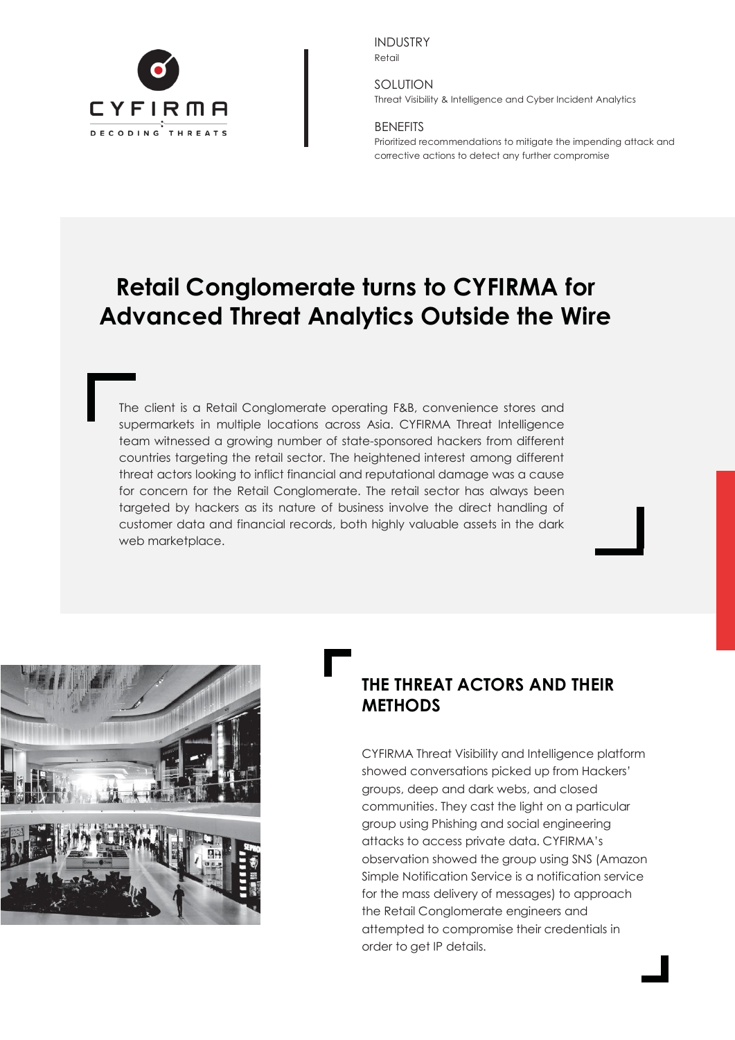

INDUSTRY Retail

SOLUTION Threat Visibility & Intelligence and Cyber Incident Analytics

### BENEFITS

Prioritized recommendations to mitigate the impending attack and corrective actions to detect any further compromise

# **Retail Conglomerate turns to CYFIRMA for Advanced Threat Analytics Outside the Wire**

The client is a Retail Conglomerate operating F&B, convenience stores and supermarkets in multiple locations across Asia. CYFIRMA Threat Intelligence team witnessed a growing number of state-sponsored hackers from different countries targeting the retail sector. The heightened interest among different threat actors looking to inflict financial and reputational damage was a cause for concern for the Retail Conglomerate. The retail sector has always been targeted by hackers as its nature of business involve the direct handling of customer data and financial records, both highly valuable assets in the dark web marketplace.



# **THE THREAT ACTORS AND THEIR METHODS**

CYFIRMA Threat Visibility and Intelligence platform showed conversations picked up from Hackers' groups, deep and dark webs, and closed communities. They cast the light on a particular group using Phishing and social engineering attacks to access private data. CYFIRMA's observation showed the group using SNS (Amazon Simple Notification Service is a notification service for the mass delivery of messages) to approach the Retail Conglomerate engineers and attempted to compromise their credentials in order to get IP details.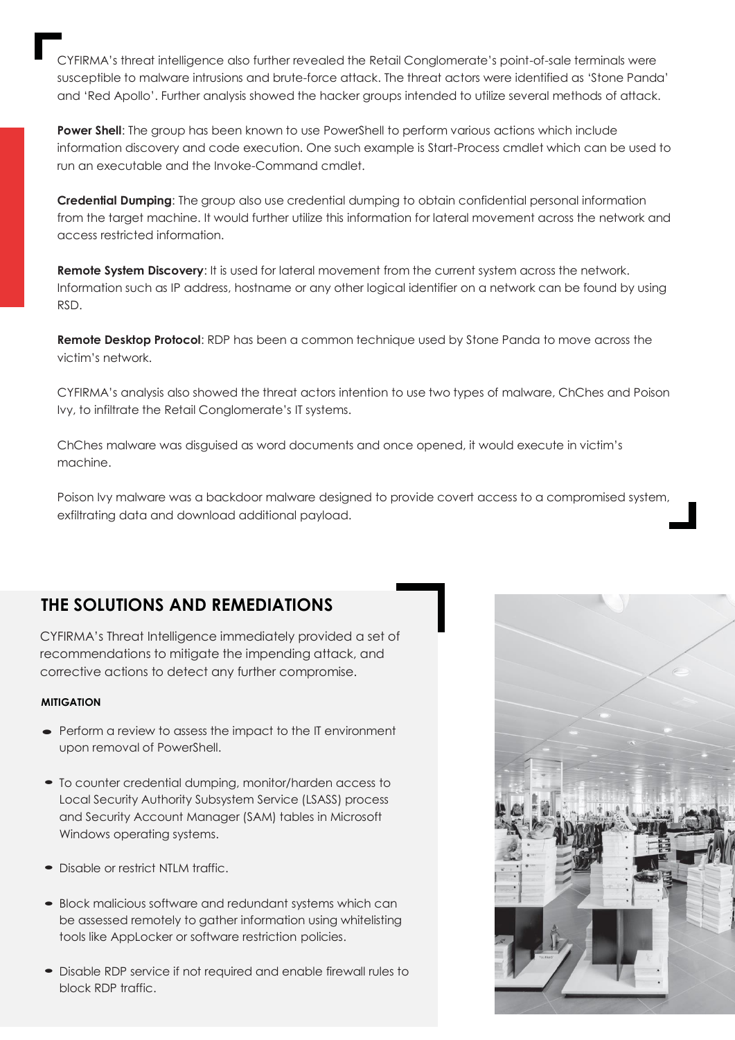CYFIRMA's threat intelligence also further revealed the Retail Conglomerate's point-of-sale terminals were susceptible to malware intrusions and brute-force attack. The threat actors were identified as 'Stone Panda' and 'Red Apollo'. Further analysis showed the hacker groups intended to utilize several methods of attack.

**Power Shell**: The group has been known to use PowerShell to perform various actions which include information discovery and code execution. One such example is Start-Process cmdlet which can be used to run an executable and the Invoke-Command cmdlet.

**Credential Dumping**: The group also use credential dumping to obtain confidential personal information from the target machine. It would further utilize this information for lateral movement across the network and access restricted information.

**Remote System Discovery:** It is used for lateral movement from the current system across the network. Information such as IP address, hostname or any other logical identifier on a network can be found by using RSD.

**Remote Desktop Protocol**: RDP has been a common technique used by Stone Panda to move across the victim's network.

CYFIRMA's analysis also showed the threat actors intention to use two types of malware, ChChes and Poison Ivy, to infiltrate the Retail Conglomerate's IT systems.

ChChes malware was disguised as word documents and once opened, it would execute in victim's machine.

Poison Ivy malware was a backdoor malware designed to provide covert access to a compromised system, exfiltrating data and download additional payload.

# **THE SOLUTIONS AND REMEDIATIONS**

CYFIRMA's Threat Intelligence immediately provided a set of recommendations to mitigate the impending attack, and corrective actions to detect any further compromise.

### **MITIGATION**

- Perform a review to assess the impact to the IT environment upon removal of PowerShell.
- •To counter credential dumping, monitor/harden access to Local Security Authority Subsystem Service (LSASS) process and Security Account Manager (SAM) tables in Microsoft Windows operating systems.
- Disable or restrict NTLM traffic.
- Block malicious software and redundant systems which can be assessed remotely to gather information using whitelisting tools like AppLocker or software restriction policies.
- Disable RDP service if not required and enable firewall rules to block RDP traffic.